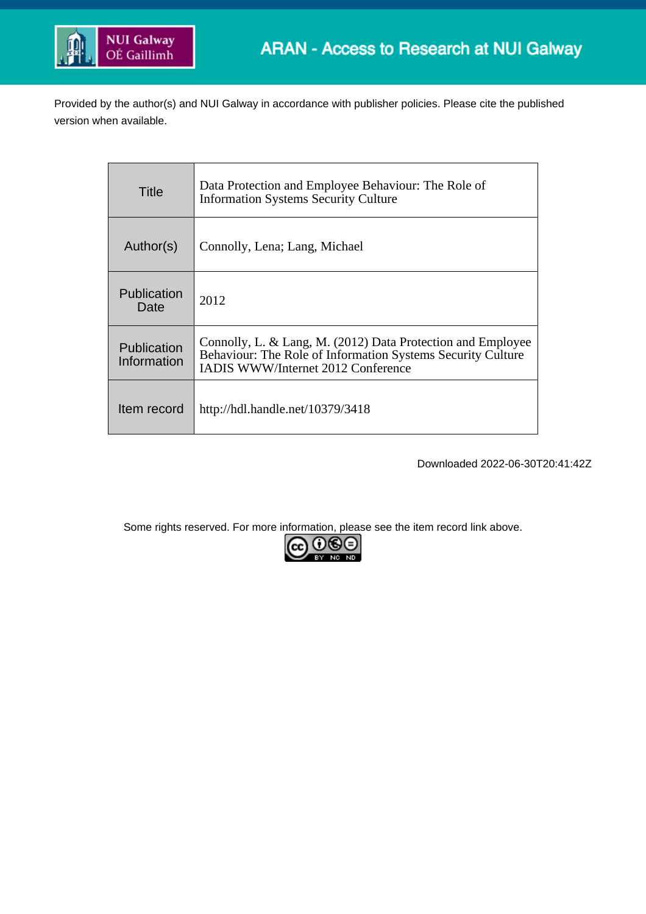

Provided by the author(s) and NUI Galway in accordance with publisher policies. Please cite the published version when available.

| Title                      | Data Protection and Employee Behaviour: The Role of<br><b>Information Systems Security Culture</b>                                                                      |
|----------------------------|-------------------------------------------------------------------------------------------------------------------------------------------------------------------------|
| Author(s)                  | Connolly, Lena; Lang, Michael                                                                                                                                           |
| Publication<br>Date        | 2012                                                                                                                                                                    |
| Publication<br>Information | Connolly, L. & Lang, M. (2012) Data Protection and Employee<br>Behaviour: The Role of Information Systems Security Culture<br><b>IADIS WWW/Internet 2012 Conference</b> |
| Item record                | http://hdl.handle.net/10379/3418                                                                                                                                        |

Downloaded 2022-06-30T20:41:42Z

Some rights reserved. For more information, please see the item record link above.

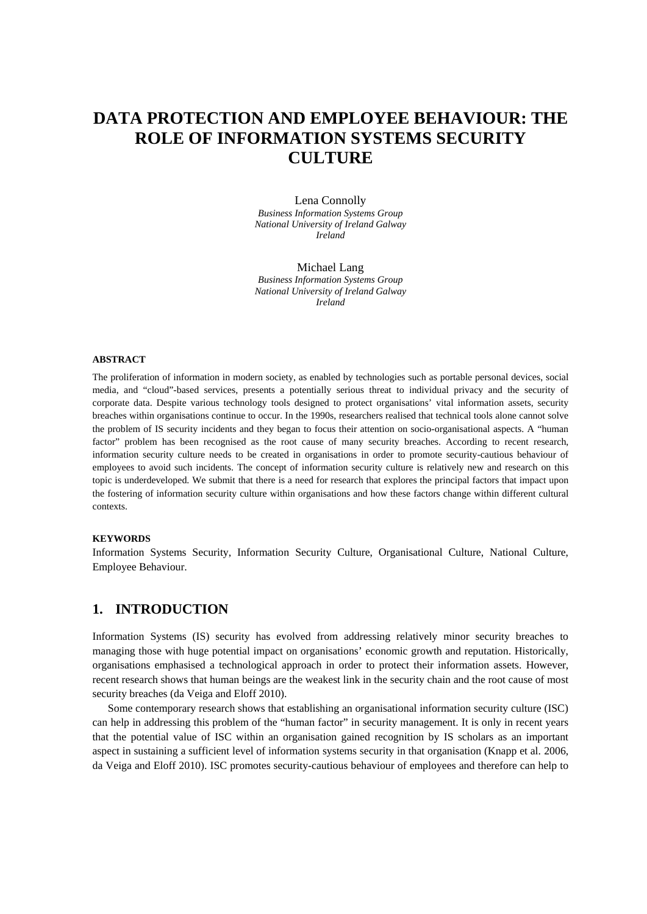# **DATA PROTECTION AND EMPLOYEE BEHAVIOUR: THE ROLE OF INFORMATION SYSTEMS SECURITY CULTURE**

Lena Connolly *Business Information Systems Group National University of Ireland Galway Ireland*

Michael Lang *Business Information Systems Group National University of Ireland Galway Ireland*

#### **ABSTRACT**

The proliferation of information in modern society, as enabled by technologies such as portable personal devices, social media, and "cloud"-based services, presents a potentially serious threat to individual privacy and the security of corporate data. Despite various technology tools designed to protect organisations' vital information assets, security breaches within organisations continue to occur. In the 1990s, researchers realised that technical tools alone cannot solve the problem of IS security incidents and they began to focus their attention on socio-organisational aspects. A "human factor" problem has been recognised as the root cause of many security breaches. According to recent research, information security culture needs to be created in organisations in order to promote security-cautious behaviour of employees to avoid such incidents. The concept of information security culture is relatively new and research on this topic is underdeveloped. We submit that there is a need for research that explores the principal factors that impact upon the fostering of information security culture within organisations and how these factors change within different cultural contexts.

#### **KEYWORDS**

Information Systems Security, Information Security Culture, Organisational Culture, National Culture, Employee Behaviour.

#### **1. INTRODUCTION**

Information Systems (IS) security has evolved from addressing relatively minor security breaches to managing those with huge potential impact on organisations' economic growth and reputation. Historically, organisations emphasised a technological approach in order to protect their information assets. However, recent research shows that human beings are the weakest link in the security chain and the root cause of most security breaches (da Veiga and Eloff 2010).

Some contemporary research shows that establishing an organisational information security culture (ISC) can help in addressing this problem of the "human factor" in security management. It is only in recent years that the potential value of ISC within an organisation gained recognition by IS scholars as an important aspect in sustaining a sufficient level of information systems security in that organisation (Knapp et al. 2006, da Veiga and Eloff 2010). ISC promotes security-cautious behaviour of employees and therefore can help to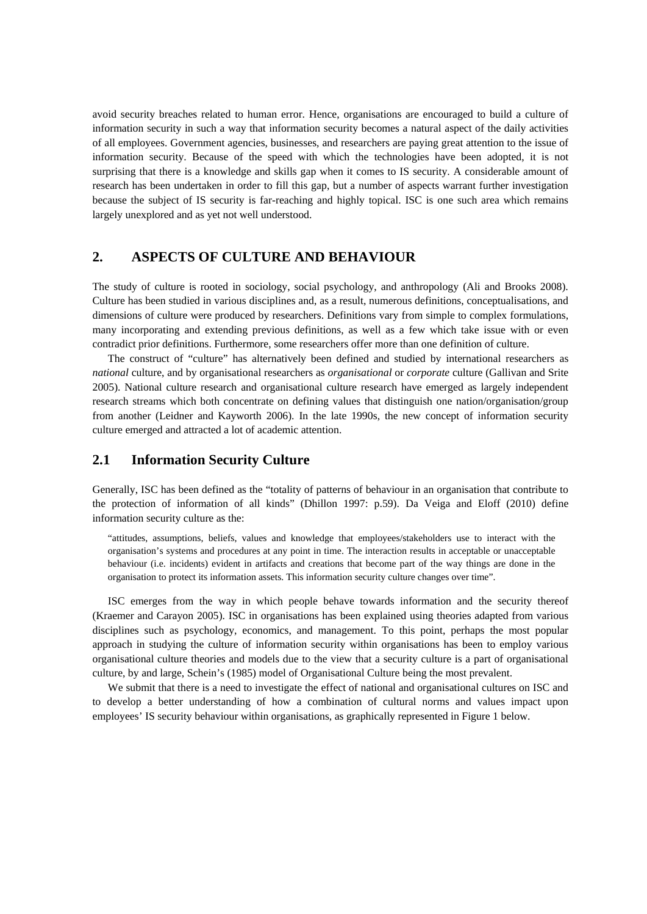avoid security breaches related to human error. Hence, organisations are encouraged to build a culture of information security in such a way that information security becomes a natural aspect of the daily activities of all employees. Government agencies, businesses, and researchers are paying great attention to the issue of information security. Because of the speed with which the technologies have been adopted, it is not surprising that there is a knowledge and skills gap when it comes to IS security. A considerable amount of research has been undertaken in order to fill this gap, but a number of aspects warrant further investigation because the subject of IS security is far-reaching and highly topical. ISC is one such area which remains largely unexplored and as yet not well understood.

#### **2. ASPECTS OF CULTURE AND BEHAVIOUR**

The study of culture is rooted in sociology, social psychology, and anthropology (Ali and Brooks 2008). Culture has been studied in various disciplines and, as a result, numerous definitions, conceptualisations, and dimensions of culture were produced by researchers. Definitions vary from simple to complex formulations, many incorporating and extending previous definitions, as well as a few which take issue with or even contradict prior definitions. Furthermore, some researchers offer more than one definition of culture.

The construct of "culture" has alternatively been defined and studied by international researchers as *national* culture, and by organisational researchers as *organisational* or *corporate* culture (Gallivan and Srite 2005). National culture research and organisational culture research have emerged as largely independent research streams which both concentrate on defining values that distinguish one nation/organisation/group from another (Leidner and Kayworth 2006). In the late 1990s, the new concept of information security culture emerged and attracted a lot of academic attention.

#### **2.1 Information Security Culture**

Generally, ISC has been defined as the "totality of patterns of behaviour in an organisation that contribute to the protection of information of all kinds" (Dhillon 1997: p.59). Da Veiga and Eloff (2010) define information security culture as the:

"attitudes, assumptions, beliefs, values and knowledge that employees/stakeholders use to interact with the organisation's systems and procedures at any point in time. The interaction results in acceptable or unacceptable behaviour (i.e. incidents) evident in artifacts and creations that become part of the way things are done in the organisation to protect its information assets. This information security culture changes over time".

ISC emerges from the way in which people behave towards information and the security thereof (Kraemer and Carayon 2005). ISC in organisations has been explained using theories adapted from various disciplines such as psychology, economics, and management. To this point, perhaps the most popular approach in studying the culture of information security within organisations has been to employ various organisational culture theories and models due to the view that a security culture is a part of organisational culture, by and large, Schein's (1985) model of Organisational Culture being the most prevalent.

We submit that there is a need to investigate the effect of national and organisational cultures on ISC and to develop a better understanding of how a combination of cultural norms and values impact upon employees' IS security behaviour within organisations, as graphically represented in Figure 1 below.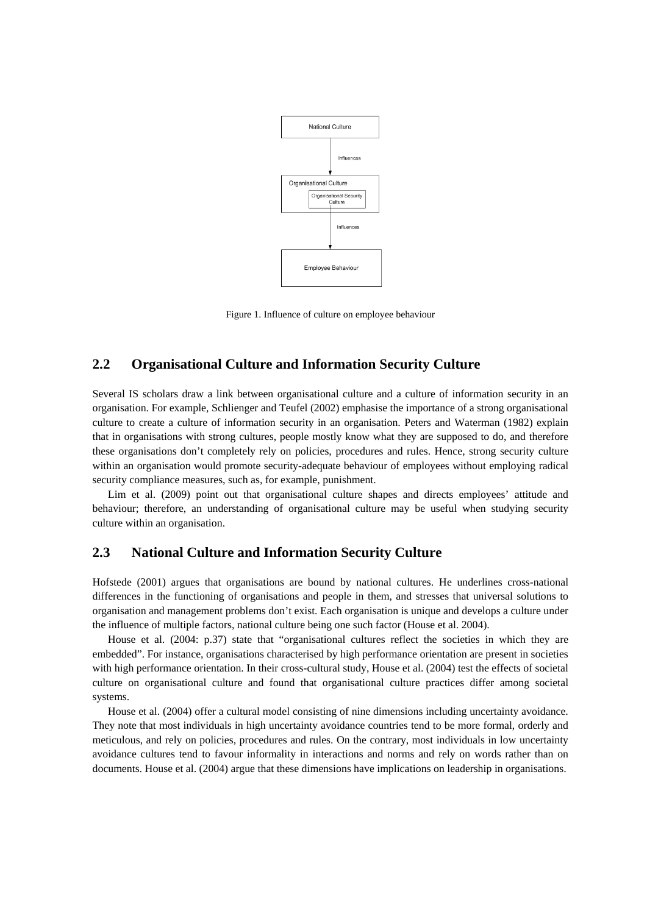

Figure 1. Influence of culture on employee behaviour

### **2.2 Organisational Culture and Information Security Culture**

Several IS scholars draw a link between organisational culture and a culture of information security in an organisation. For example, Schlienger and Teufel (2002) emphasise the importance of a strong organisational culture to create a culture of information security in an organisation. Peters and Waterman (1982) explain that in organisations with strong cultures, people mostly know what they are supposed to do, and therefore these organisations don't completely rely on policies, procedures and rules. Hence, strong security culture within an organisation would promote security-adequate behaviour of employees without employing radical security compliance measures, such as, for example, punishment.

Lim et al. (2009) point out that organisational culture shapes and directs employees' attitude and behaviour; therefore, an understanding of organisational culture may be useful when studying security culture within an organisation.

### **2.3 National Culture and Information Security Culture**

Hofstede (2001) argues that organisations are bound by national cultures. He underlines cross-national differences in the functioning of organisations and people in them, and stresses that universal solutions to organisation and management problems don't exist. Each organisation is unique and develops a culture under the influence of multiple factors, national culture being one such factor (House et al. 2004).

House et al. (2004: p.37) state that "organisational cultures reflect the societies in which they are embedded". For instance, organisations characterised by high performance orientation are present in societies with high performance orientation. In their cross-cultural study, House et al. (2004) test the effects of societal culture on organisational culture and found that organisational culture practices differ among societal systems.

House et al. (2004) offer a cultural model consisting of nine dimensions including uncertainty avoidance. They note that most individuals in high uncertainty avoidance countries tend to be more formal, orderly and meticulous, and rely on policies, procedures and rules. On the contrary, most individuals in low uncertainty avoidance cultures tend to favour informality in interactions and norms and rely on words rather than on documents. House et al. (2004) argue that these dimensions have implications on leadership in organisations.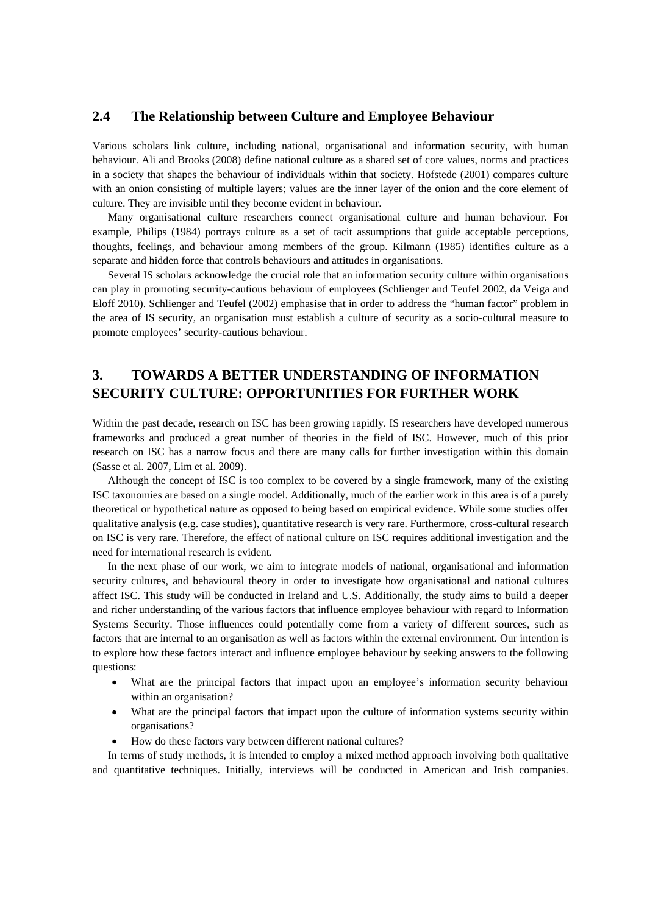#### **2.4 The Relationship between Culture and Employee Behaviour**

Various scholars link culture, including national, organisational and information security, with human behaviour. Ali and Brooks (2008) define national culture as a shared set of core values, norms and practices in a society that shapes the behaviour of individuals within that society. Hofstede (2001) compares culture with an onion consisting of multiple layers; values are the inner layer of the onion and the core element of culture. They are invisible until they become evident in behaviour.

Many organisational culture researchers connect organisational culture and human behaviour. For example, Philips (1984) portrays culture as a set of tacit assumptions that guide acceptable perceptions, thoughts, feelings, and behaviour among members of the group. Kilmann (1985) identifies culture as a separate and hidden force that controls behaviours and attitudes in organisations.

Several IS scholars acknowledge the crucial role that an information security culture within organisations can play in promoting security-cautious behaviour of employees (Schlienger and Teufel 2002, da Veiga and Eloff 2010). Schlienger and Teufel (2002) emphasise that in order to address the "human factor" problem in the area of IS security, an organisation must establish a culture of security as a socio-cultural measure to promote employees' security-cautious behaviour.

## **3. TOWARDS A BETTER UNDERSTANDING OF INFORMATION SECURITY CULTURE: OPPORTUNITIES FOR FURTHER WORK**

Within the past decade, research on ISC has been growing rapidly. IS researchers have developed numerous frameworks and produced a great number of theories in the field of ISC. However, much of this prior research on ISC has a narrow focus and there are many calls for further investigation within this domain (Sasse et al. 2007, Lim et al. 2009).

Although the concept of ISC is too complex to be covered by a single framework, many of the existing ISC taxonomies are based on a single model. Additionally, much of the earlier work in this area is of a purely theoretical or hypothetical nature as opposed to being based on empirical evidence. While some studies offer qualitative analysis (e.g. case studies), quantitative research is very rare. Furthermore, cross-cultural research on ISC is very rare. Therefore, the effect of national culture on ISC requires additional investigation and the need for international research is evident.

In the next phase of our work, we aim to integrate models of national, organisational and information security cultures, and behavioural theory in order to investigate how organisational and national cultures affect ISC. This study will be conducted in Ireland and U.S. Additionally, the study aims to build a deeper and richer understanding of the various factors that influence employee behaviour with regard to Information Systems Security. Those influences could potentially come from a variety of different sources, such as factors that are internal to an organisation as well as factors within the external environment. Our intention is to explore how these factors interact and influence employee behaviour by seeking answers to the following questions:

- What are the principal factors that impact upon an employee's information security behaviour within an organisation?
- What are the principal factors that impact upon the culture of information systems security within organisations?
- How do these factors vary between different national cultures?

In terms of study methods, it is intended to employ a mixed method approach involving both qualitative and quantitative techniques. Initially, interviews will be conducted in American and Irish companies.